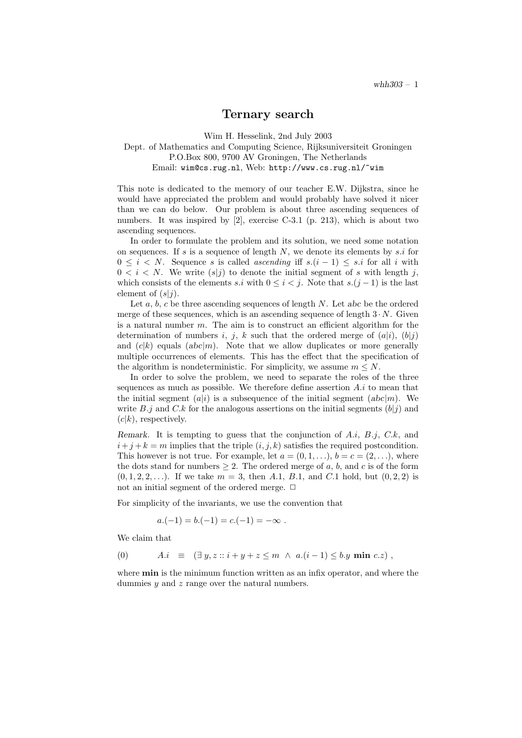## Ternary search

Wim H. Hesselink, 2nd July 2003

## Dept. of Mathematics and Computing Science, Rijksuniversiteit Groningen P.O.Box 800, 9700 AV Groningen, The Netherlands Email: wim@cs.rug.nl, Web: http://www.cs.rug.nl/~wim

This note is dedicated to the memory of our teacher E.W. Dijkstra, since he would have appreciated the problem and would probably have solved it nicer than we can do below. Our problem is about three ascending sequences of numbers. It was inspired by [2], exercise C-3.1 (p. 213), which is about two ascending sequences.

In order to formulate the problem and its solution, we need some notation on sequences. If  $s$  is a sequence of length  $N$ , we denote its elements by  $s.i$  for  $0 \leq i \leq N$ . Sequence s is called ascending iff  $s(i-1) \leq s.i$  for all i with  $0 < i < N$ . We write  $(s|j)$  to denote the initial segment of s with length j, which consists of the elements s.i with  $0 \leq i < j$ . Note that s. $(j-1)$  is the last element of  $(s|i)$ .

Let a, b, c be three ascending sequences of length  $N$ . Let abc be the ordered merge of these sequences, which is an ascending sequence of length  $3 \cdot N$ . Given is a natural number  $m$ . The aim is to construct an efficient algorithm for the determination of numbers i, j, k such that the ordered merge of  $(a|i)$ ,  $(b|j)$ and  $(c|k)$  equals  $(abc|m)$ . Note that we allow duplicates or more generally multiple occurrences of elements. This has the effect that the specification of the algorithm is nondeterministic. For simplicity, we assume  $m \leq N$ .

In order to solve the problem, we need to separate the roles of the three sequences as much as possible. We therefore define assertion  $A.i$  to mean that the initial segment  $(a|i)$  is a subsequence of the initial segment  $(abc|m)$ . We write B.j and C.k for the analogous assertions on the initial segments  $(b|i)$  and  $(c|k)$ , respectively.

Remark. It is tempting to guess that the conjunction of  $A.i, B.j, C.k$ , and  $i+j+k = m$  implies that the triple  $(i, j, k)$  satisfies the required postcondition. This however is not true. For example, let  $a = (0, 1, \ldots), b = c = (2, \ldots)$ , where the dots stand for numbers  $\geq 2$ . The ordered merge of a, b, and c is of the form  $(0, 1, 2, 2, \ldots)$ . If we take  $m = 3$ , then A.1, B.1, and C.1 hold, but  $(0, 2, 2)$  is not an initial segment of the ordered merge.  $\Box$ 

For simplicity of the invariants, we use the convention that

$$
a.(-1) = b.(-1) = c.(-1) = -\infty.
$$

We claim that

$$
(0) \qquad A.i \equiv (\exists y, z :: i + y + z \leq m \land a.(i-1) \leq b.y \text{ min } c.z)
$$

where **min** is the minimum function written as an infix operator, and where the dummies  $y$  and  $z$  range over the natural numbers.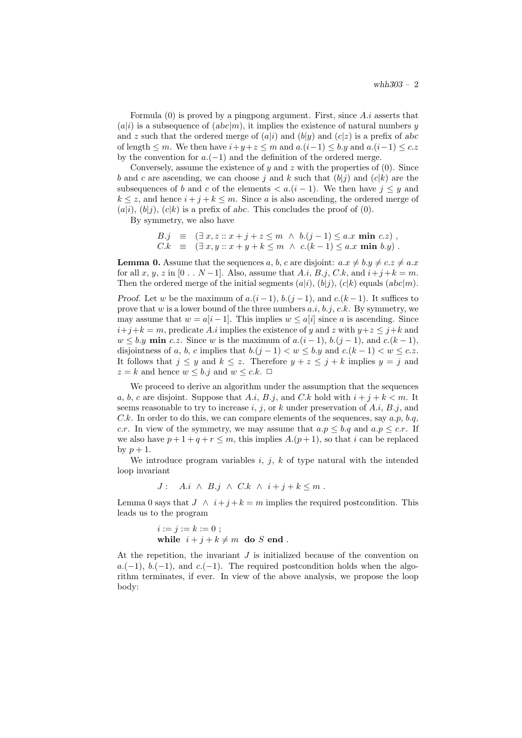Formula  $(0)$  is proved by a pingpong argument. First, since  $A.i$  asserts that  $(a|i)$  is a subsequence of  $(abc|m)$ , it implies the existence of natural numbers y and z such that the ordered merge of  $(a|i)$  and  $(b|y)$  and  $(c|z)$  is a prefix of abc of length  $\leq m$ . We then have  $i+y+z \leq m$  and  $a.(i-1) \leq b.y$  and  $a.(i-1) \leq c.z$ by the convention for  $a.(-1)$  and the definition of the ordered merge.

Conversely, assume the existence of  $y$  and  $z$  with the properties of  $(0)$ . Since b and c are ascending, we can choose j and k such that  $(b|i)$  and  $(c|k)$  are the subsequences of b and c of the elements  $\lt a.(i-1)$ . We then have  $i \lt y$  and  $k \leq z$ , and hence  $i + j + k \leq m$ . Since a is also ascending, the ordered merge of  $(a|i)$ ,  $(b|i)$ ,  $(c|k)$  is a prefix of abc. This concludes the proof of  $(0)$ .

By symmetry, we also have

$$
B.j \equiv (\exists x, z :: x+j+z \le m \land b.(j-1) \le a.x \text{ min } c.z),
$$
  
\n
$$
C.k \equiv (\exists x, y :: x+y+k \le m \land c.(k-1) \le a.x \text{ min } b.y).
$$

**Lemma 0.** Assume that the sequences a, b, c are disjoint:  $a.x \neq b.y \neq c.z \neq a.x$ for all x, y, z in [0 . . N – 1]. Also, assume that A.i, B.j, C.k, and  $i+j+k=m$ . Then the ordered merge of the initial segments  $(a|i), (b|j), (c|k)$  equals  $(abc|m)$ . Proof. Let w be the maximum of  $a.(i-1), b.(j-1),$  and  $c.(k-1)$ . It suffices to prove that w is a lower bound of the three numbers  $a.i, b.i, c.k$ . By symmetry, we may assume that  $w = a[i-1]$ . This implies  $w \leq a[i]$  since a is ascending. Since  $i+j+k = m$ , predicate A.i implies the existence of y and z with  $y+z \leq j+k$  and  $w \leq b.y$  min c.z. Since w is the maximum of  $a.(i-1), b.(j-1),$  and  $c.(k-1),$ disjointness of a, b, c implies that  $b.(j-1) < w \leq b.y$  and  $c.(k-1) < w \leq c.z$ . It follows that  $j \leq y$  and  $k \leq z$ . Therefore  $y + z \leq j + k$  implies  $y = j$  and  $z = k$  and hence  $w \leq b$ . j and  $w \leq c$ .  $\Box$ 

We proceed to derive an algorithm under the assumption that the sequences a, b, c are disjoint. Suppose that A.i, B.j, and C.k hold with  $i + j + k < m$ . It seems reasonable to try to increase i, j, or k under preservation of  $A.i, B.j$ , and C.k. In order to do this, we can compare elements of the sequences, say  $a.p, b.q$ , c.r. In view of the symmetry, we may assume that  $a.p \leq b.q$  and  $a.p \leq c.r$ . If we also have  $p+1+q+r \leq m$ , this implies  $A.(p+1)$ , so that i can be replaced by  $p+1$ .

We introduce program variables  $i, j, k$  of type natural with the intended loop invariant

$$
J: A.i \wedge B.j \wedge C.k \wedge i+j+k \leq m.
$$

Lemma 0 says that  $J \wedge i+j+k=m$  implies the required postcondition. This leads us to the program

$$
i := j := k := 0 ;
$$
  
while 
$$
i + j + k \neq m
$$
 do  $S$  end.

At the repetition, the invariant  $J$  is initialized because of the convention on  $a.(-1), b.(-1),$  and  $c.(-1)$ . The required postcondition holds when the algorithm terminates, if ever. In view of the above analysis, we propose the loop body: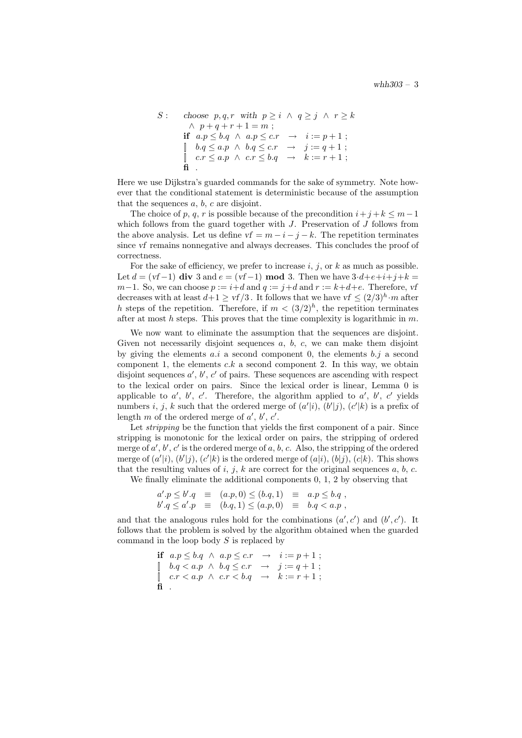```
S : choose p, q, r with p \geq i \land q \geq j \land r \geq k\wedge p + q + r + 1 = m;if a.p \leq b.q \land a.p \leq c.r \rightarrow i := p+1;
 \begin{array}{ll} \parallel \quad b.q \leq a.p \;\wedge\; b.q \leq c.r \;\;\rightarrow\;\;\; j := q+1 \; ; \end{array}\left[\begin{array}{cccc} c.r \leq a.p \land c.r \leq b.q \rightarrow k := r+1 \end{array};\right.\ddot{\mathbf{f}}
```
Here we use Dijkstra's guarded commands for the sake of symmetry. Note however that the conditional statement is deterministic because of the assumption that the sequences  $a, b, c$  are disjoint.

The choice of p, q, r is possible because of the precondition  $i+j+k \leq m-1$ which follows from the guard together with  $J$ . Preservation of  $J$  follows from the above analysis. Let us define  $vf = m - i - j - k$ . The repetition terminates since vf remains nonnegative and always decreases. This concludes the proof of correctness.

For the sake of efficiency, we prefer to increase  $i, j$ , or  $k$  as much as possible. Let  $d = (vf-1)$  div 3 and  $e = (vf-1)$  mod 3. Then we have  $3 \cdot d + e + i + j + k =$ m−1. So, we can choose  $p := i+d$  and  $q := j+d$  and  $r := k+d+e$ . Therefore, vf decreases with at least  $d+1 \geq \nu f/3$ . It follows that we have  $\nu f \leq (2/3)^h \cdot m$  after h steps of the repetition. Therefore, if  $m < (3/2)^h$ , the repetition terminates after at most h steps. This proves that the time complexity is logarithmic in  $m$ .

We now want to eliminate the assumption that the sequences are disjoint. Given not necessarily disjoint sequences  $a, b, c$ , we can make them disjoint by giving the elements  $a.i$  a second component 0, the elements  $b.j$  a second component 1, the elements  $c.k$  a second component 2. In this way, we obtain disjoint sequences  $a', b', c'$  of pairs. These sequences are ascending with respect to the lexical order on pairs. Since the lexical order is linear, Lemma 0 is applicable to  $a'$ ,  $b'$ ,  $c'$ . Therefore, the algorithm applied to  $a'$ ,  $b'$ ,  $c'$  yields numbers i, j, k such that the ordered merge of  $(a'|i)$ ,  $(b'|j)$ ,  $(c'|k)$  is a prefix of length  $m$  of the ordered merge of  $a'$ ,  $b'$ ,  $c'$ .

Let *stripping* be the function that yields the first component of a pair. Since stripping is monotonic for the lexical order on pairs, the stripping of ordered merge of  $a', b', c'$  is the ordered merge of  $a, b, c$ . Also, the stripping of the ordered merge of  $(a'|i)$ ,  $(b'|j)$ ,  $(c'|k)$  is the ordered merge of  $(a|i)$ ,  $(b|j)$ ,  $(c|k)$ . This shows that the resulting values of i, j, k are correct for the original sequences a, b, c.

We finally eliminate the additional components 0, 1, 2 by observing that

$$
a' \cdot p \leq b' \cdot q \equiv (a \cdot p, 0) \leq (b \cdot q, 1) \equiv a \cdot p \leq b \cdot q,
$$
  
\n $b' \cdot q \leq a' \cdot p \equiv (b \cdot q, 1) \leq (a \cdot p, 0) \equiv b \cdot q < a \cdot p,$ 

and that the analogous rules hold for the combinations  $(a', c')$  and  $(b', c')$ . It follows that the problem is solved by the algorithm obtained when the guarded command in the loop body  $S$  is replaced by

```
if a.p \leq b.q \land a.p \leq c.r \rightarrow i := p+1;\begin{array}{cccc} \parallel & b.q < a.p < b.q \leq c.r & \rightarrow & j := q+1 \end{array}\left[ \begin{array}{cccc} c.r < a.p < c.r < b.q & \rightarrow & k := r+1 \end{array} \right]fi .
```